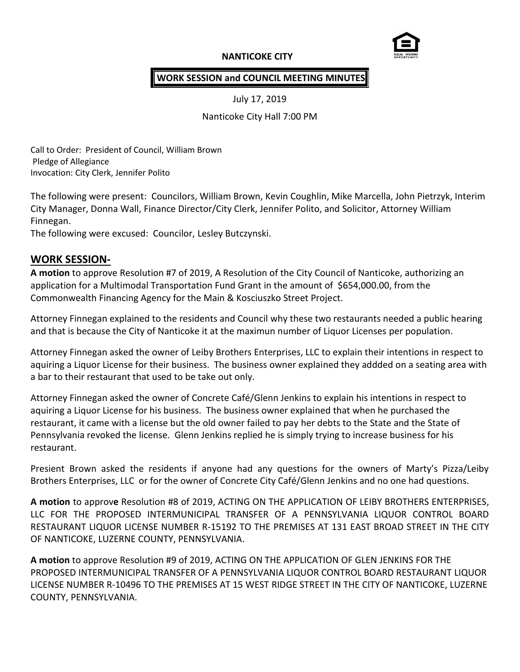### **NANTICOKE CITY**



#### **WORK SESSION and COUNCIL MEETING MINUTES**

July 17, 2019

Nanticoke City Hall 7:00 PM

Call to Order: President of Council, William Brown Pledge of Allegiance Invocation: City Clerk, Jennifer Polito

The following were present: Councilors, William Brown, Kevin Coughlin, Mike Marcella, John Pietrzyk, Interim City Manager, Donna Wall, Finance Director/City Clerk, Jennifer Polito, and Solicitor, Attorney William Finnegan.

The following were excused: Councilor, Lesley Butczynski.

### **WORK SESSION-**

**A motion** to approve Resolution #7 of 2019, A Resolution of the City Council of Nanticoke, authorizing an application for a Multimodal Transportation Fund Grant in the amount of \$654,000.00, from the Commonwealth Financing Agency for the Main & Kosciuszko Street Project.

Attorney Finnegan explained to the residents and Council why these two restaurants needed a public hearing and that is because the City of Nanticoke it at the maximun number of Liquor Licenses per population.

Attorney Finnegan asked the owner of Leiby Brothers Enterprises, LLC to explain their intentions in respect to aquiring a Liquor License for their business. The business owner explained they addded on a seating area with a bar to their restaurant that used to be take out only.

Attorney Finnegan asked the owner of Concrete Café/Glenn Jenkins to explain his intentions in respect to aquiring a Liquor License for his business. The business owner explained that when he purchased the restaurant, it came with a license but the old owner failed to pay her debts to the State and the State of Pennsylvania revoked the license. Glenn Jenkins replied he is simply trying to increase business for his restaurant.

Presient Brown asked the residents if anyone had any questions for the owners of Marty's Pizza/Leiby Brothers Enterprises, LLC or for the owner of Concrete City Café/Glenn Jenkins and no one had questions.

**A motion** to approv**e** Resolution #8 of 2019, ACTING ON THE APPLICATION OF LEIBY BROTHERS ENTERPRISES, LLC FOR THE PROPOSED INTERMUNICIPAL TRANSFER OF A PENNSYLVANIA LIQUOR CONTROL BOARD RESTAURANT LIQUOR LICENSE NUMBER R-15192 TO THE PREMISES AT 131 EAST BROAD STREET IN THE CITY OF NANTICOKE, LUZERNE COUNTY, PENNSYLVANIA.

**A motion** to approve Resolution #9 of 2019, ACTING ON THE APPLICATION OF GLEN JENKINS FOR THE PROPOSED INTERMUNICIPAL TRANSFER OF A PENNSYLVANIA LIQUOR CONTROL BOARD RESTAURANT LIQUOR LICENSE NUMBER R-10496 TO THE PREMISES AT 15 WEST RIDGE STREET IN THE CITY OF NANTICOKE, LUZERNE COUNTY, PENNSYLVANIA.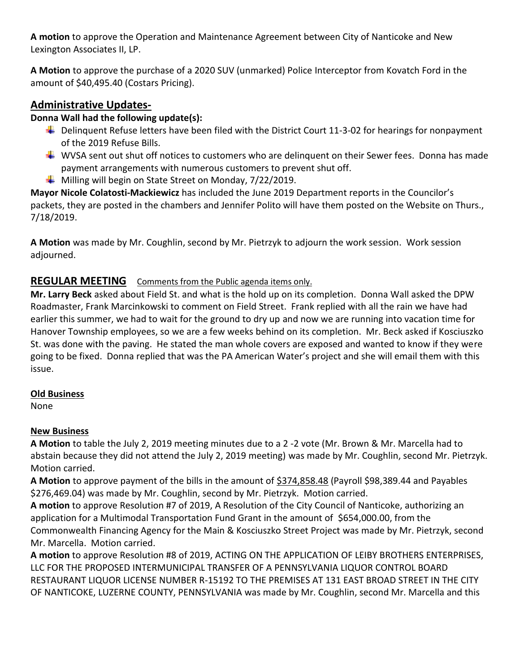**A motion** to approve the Operation and Maintenance Agreement between City of Nanticoke and New Lexington Associates II, LP.

**A Motion** to approve the purchase of a 2020 SUV (unmarked) Police Interceptor from Kovatch Ford in the amount of \$40,495.40 (Costars Pricing).

# **Administrative Updates-**

## **Donna Wall had the following update(s):**

- $\ddot{\phantom{1}}$  Delinquent Refuse letters have been filed with the District Court 11-3-02 for hearings for nonpayment of the 2019 Refuse Bills.
- $\textcolor{red}{\blackdownarrow}$  WVSA sent out shut off notices to customers who are delinguent on their Sewer fees. Donna has made payment arrangements with numerous customers to prevent shut off.
- $\downarrow$  Milling will begin on State Street on Monday, 7/22/2019.

**Mayor Nicole Colatosti-Mackiewicz** has included the June 2019 Department reports in the Councilor's packets, they are posted in the chambers and Jennifer Polito will have them posted on the Website on Thurs., 7/18/2019.

**A Motion** was made by Mr. Coughlin, second by Mr. Pietrzyk to adjourn the work session. Work session adjourned.

# **REGULAR MEETING** Comments from the Public agenda items only.

**Mr. Larry Beck** asked about Field St. and what is the hold up on its completion. Donna Wall asked the DPW Roadmaster, Frank Marcinkowski to comment on Field Street. Frank replied with all the rain we have had earlier this summer, we had to wait for the ground to dry up and now we are running into vacation time for Hanover Township employees, so we are a few weeks behind on its completion. Mr. Beck asked if Kosciuszko St. was done with the paving. He stated the man whole covers are exposed and wanted to know if they were going to be fixed. Donna replied that was the PA American Water's project and she will email them with this issue.

## **Old Business**

None

## **New Business**

**A Motion** to table the July 2, 2019 meeting minutes due to a 2 -2 vote (Mr. Brown & Mr. Marcella had to abstain because they did not attend the July 2, 2019 meeting) was made by Mr. Coughlin, second Mr. Pietrzyk. Motion carried.

**A Motion** to approve payment of the bills in the amount of \$374,858.48 (Payroll \$98,389.44 and Payables \$276,469.04) was made by Mr. Coughlin, second by Mr. Pietrzyk. Motion carried.

**A motion** to approve Resolution #7 of 2019, A Resolution of the City Council of Nanticoke, authorizing an application for a Multimodal Transportation Fund Grant in the amount of \$654,000.00, from the Commonwealth Financing Agency for the Main & Kosciuszko Street Project was made by Mr. Pietrzyk, second Mr. Marcella. Motion carried.

**A motion** to approve Resolution #8 of 2019, ACTING ON THE APPLICATION OF LEIBY BROTHERS ENTERPRISES, LLC FOR THE PROPOSED INTERMUNICIPAL TRANSFER OF A PENNSYLVANIA LIQUOR CONTROL BOARD RESTAURANT LIQUOR LICENSE NUMBER R-15192 TO THE PREMISES AT 131 EAST BROAD STREET IN THE CITY OF NANTICOKE, LUZERNE COUNTY, PENNSYLVANIA was made by Mr. Coughlin, second Mr. Marcella and this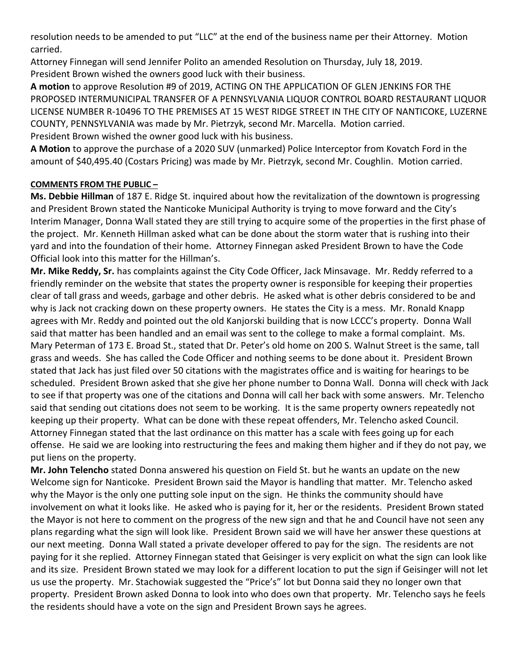resolution needs to be amended to put "LLC" at the end of the business name per their Attorney. Motion carried.

Attorney Finnegan will send Jennifer Polito an amended Resolution on Thursday, July 18, 2019. President Brown wished the owners good luck with their business.

**A motion** to approve Resolution #9 of 2019, ACTING ON THE APPLICATION OF GLEN JENKINS FOR THE PROPOSED INTERMUNICIPAL TRANSFER OF A PENNSYLVANIA LIQUOR CONTROL BOARD RESTAURANT LIQUOR LICENSE NUMBER R-10496 TO THE PREMISES AT 15 WEST RIDGE STREET IN THE CITY OF NANTICOKE, LUZERNE COUNTY, PENNSYLVANIA was made by Mr. Pietrzyk, second Mr. Marcella. Motion carried. President Brown wished the owner good luck with his business.

**A Motion** to approve the purchase of a 2020 SUV (unmarked) Police Interceptor from Kovatch Ford in the amount of \$40,495.40 (Costars Pricing) was made by Mr. Pietrzyk, second Mr. Coughlin. Motion carried.

### **COMMENTS FROM THE PUBLIC –**

**Ms. Debbie Hillman** of 187 E. Ridge St. inquired about how the revitalization of the downtown is progressing and President Brown stated the Nanticoke Municipal Authority is trying to move forward and the City's Interim Manager, Donna Wall stated they are still trying to acquire some of the properties in the first phase of the project. Mr. Kenneth Hillman asked what can be done about the storm water that is rushing into their yard and into the foundation of their home. Attorney Finnegan asked President Brown to have the Code Official look into this matter for the Hillman's.

**Mr. Mike Reddy, Sr.** has complaints against the City Code Officer, Jack Minsavage. Mr. Reddy referred to a friendly reminder on the website that states the property owner is responsible for keeping their properties clear of tall grass and weeds, garbage and other debris. He asked what is other debris considered to be and why is Jack not cracking down on these property owners. He states the City is a mess. Mr. Ronald Knapp agrees with Mr. Reddy and pointed out the old Kanjorski building that is now LCCC's property. Donna Wall said that matter has been handled and an email was sent to the college to make a formal complaint. Ms. Mary Peterman of 173 E. Broad St., stated that Dr. Peter's old home on 200 S. Walnut Street is the same, tall grass and weeds. She has called the Code Officer and nothing seems to be done about it. President Brown stated that Jack has just filed over 50 citations with the magistrates office and is waiting for hearings to be scheduled. President Brown asked that she give her phone number to Donna Wall. Donna will check with Jack to see if that property was one of the citations and Donna will call her back with some answers. Mr. Telencho said that sending out citations does not seem to be working. It is the same property owners repeatedly not keeping up their property. What can be done with these repeat offenders, Mr. Telencho asked Council. Attorney Finnegan stated that the last ordinance on this matter has a scale with fees going up for each offense. He said we are looking into restructuring the fees and making them higher and if they do not pay, we put liens on the property.

**Mr. John Telencho** stated Donna answered his question on Field St. but he wants an update on the new Welcome sign for Nanticoke. President Brown said the Mayor is handling that matter. Mr. Telencho asked why the Mayor is the only one putting sole input on the sign. He thinks the community should have involvement on what it looks like. He asked who is paying for it, her or the residents. President Brown stated the Mayor is not here to comment on the progress of the new sign and that he and Council have not seen any plans regarding what the sign will look like. President Brown said we will have her answer these questions at our next meeting. Donna Wall stated a private developer offered to pay for the sign. The residents are not paying for it she replied. Attorney Finnegan stated that Geisinger is very explicit on what the sign can look like and its size. President Brown stated we may look for a different location to put the sign if Geisinger will not let us use the property. Mr. Stachowiak suggested the "Price's" lot but Donna said they no longer own that property. President Brown asked Donna to look into who does own that property. Mr. Telencho says he feels the residents should have a vote on the sign and President Brown says he agrees.